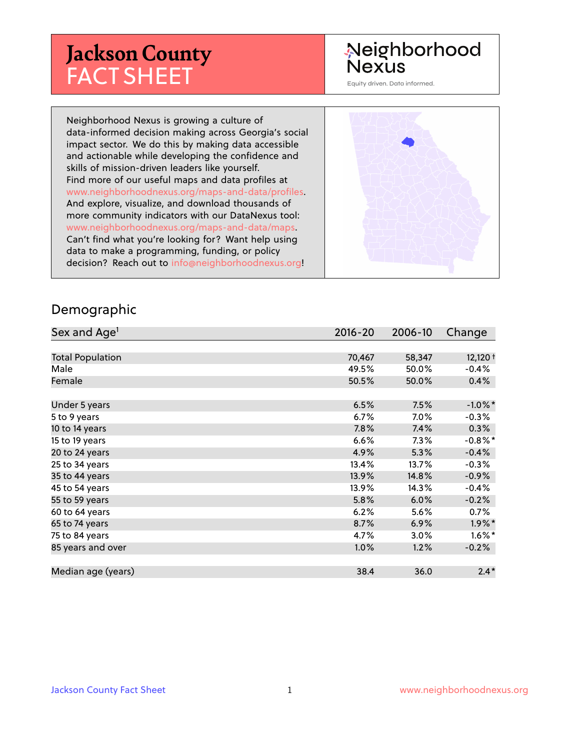# **Jackson County** FACT SHEET

## Neighborhood **Nexus**

Equity driven. Data informed.

Neighborhood Nexus is growing a culture of data-informed decision making across Georgia's social impact sector. We do this by making data accessible and actionable while developing the confidence and skills of mission-driven leaders like yourself. Find more of our useful maps and data profiles at www.neighborhoodnexus.org/maps-and-data/profiles. And explore, visualize, and download thousands of more community indicators with our DataNexus tool: www.neighborhoodnexus.org/maps-and-data/maps. Can't find what you're looking for? Want help using data to make a programming, funding, or policy decision? Reach out to [info@neighborhoodnexus.org!](mailto:info@neighborhoodnexus.org)



#### Demographic

| Sex and Age <sup>1</sup> | $2016 - 20$ | 2006-10 | Change               |
|--------------------------|-------------|---------|----------------------|
|                          |             |         |                      |
| <b>Total Population</b>  | 70,467      | 58,347  | $12,120 +$           |
| Male                     | 49.5%       | 50.0%   | $-0.4%$              |
| Female                   | 50.5%       | 50.0%   | 0.4%                 |
|                          |             |         |                      |
| Under 5 years            | 6.5%        | 7.5%    | $-1.0\%$ *           |
| 5 to 9 years             | $6.7\%$     | 7.0%    | $-0.3%$              |
| 10 to 14 years           | 7.8%        | 7.4%    | 0.3%                 |
| 15 to 19 years           | 6.6%        | $7.3\%$ | $-0.8\%$ *           |
| 20 to 24 years           | 4.9%        | 5.3%    | $-0.4%$              |
| 25 to 34 years           | 13.4%       | 13.7%   | $-0.3%$              |
| 35 to 44 years           | 13.9%       | 14.8%   | $-0.9\%$             |
| 45 to 54 years           | 13.9%       | 14.3%   | $-0.4%$              |
| 55 to 59 years           | 5.8%        | 6.0%    | $-0.2%$              |
| 60 to 64 years           | 6.2%        | 5.6%    | 0.7%                 |
| 65 to 74 years           | 8.7%        | 6.9%    | $1.9\%$ <sup>*</sup> |
| 75 to 84 years           | 4.7%        | 3.0%    | $1.6\%$ *            |
| 85 years and over        | $1.0\%$     | 1.2%    | $-0.2%$              |
|                          |             |         |                      |
| Median age (years)       | 38.4        | 36.0    | $2.4*$               |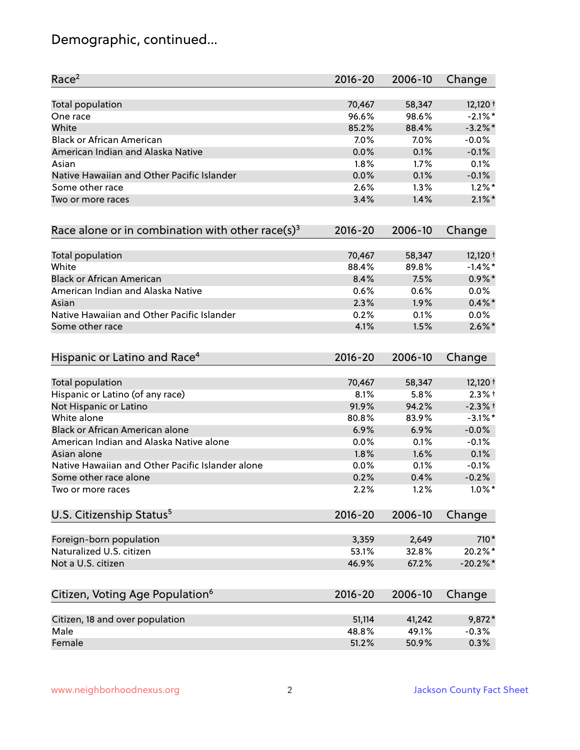## Demographic, continued...

| Race <sup>2</sup>                                   | $2016 - 20$ | 2006-10 | Change     |
|-----------------------------------------------------|-------------|---------|------------|
| <b>Total population</b>                             | 70,467      | 58,347  | $12,120 +$ |
| One race                                            | 96.6%       | 98.6%   | $-2.1\%$ * |
| White                                               | 85.2%       | 88.4%   | $-3.2\%$ * |
| <b>Black or African American</b>                    | 7.0%        | 7.0%    | $-0.0%$    |
| American Indian and Alaska Native                   | 0.0%        | 0.1%    | $-0.1%$    |
| Asian                                               | 1.8%        | 1.7%    | 0.1%       |
| Native Hawaiian and Other Pacific Islander          | 0.0%        | 0.1%    | $-0.1%$    |
| Some other race                                     | 2.6%        | 1.3%    | $1.2\%$ *  |
| Two or more races                                   | 3.4%        | 1.4%    | $2.1\%$ *  |
| Race alone or in combination with other race(s) $3$ | $2016 - 20$ | 2006-10 | Change     |
| Total population                                    | 70,467      | 58,347  | $12,120 +$ |
| White                                               | 88.4%       | 89.8%   | $-1.4\%$ * |
| <b>Black or African American</b>                    | 8.4%        | 7.5%    | $0.9\% *$  |
| American Indian and Alaska Native                   | 0.6%        | 0.6%    | 0.0%       |
| Asian                                               | 2.3%        | 1.9%    | $0.4\% *$  |
| Native Hawaiian and Other Pacific Islander          | 0.2%        | 0.1%    | $0.0\%$    |
| Some other race                                     | 4.1%        | 1.5%    | $2.6\%$ *  |
| Hispanic or Latino and Race <sup>4</sup>            | $2016 - 20$ | 2006-10 | Change     |
| Total population                                    | 70,467      | 58,347  | $12,120 +$ |
| Hispanic or Latino (of any race)                    | 8.1%        | 5.8%    | $2.3%$ +   |
| Not Hispanic or Latino                              | 91.9%       | 94.2%   | $-2.3%$ +  |
| White alone                                         | 80.8%       | 83.9%   | $-3.1\%$ * |
| Black or African American alone                     | 6.9%        | 6.9%    | $-0.0%$    |
| American Indian and Alaska Native alone             | $0.0\%$     | 0.1%    | $-0.1%$    |
| Asian alone                                         | 1.8%        | 1.6%    | 0.1%       |
| Native Hawaiian and Other Pacific Islander alone    | 0.0%        | 0.1%    | $-0.1%$    |
| Some other race alone                               | 0.2%        | 0.4%    | $-0.2%$    |
| Two or more races                                   | 2.2%        | 1.2%    | $1.0\%$ *  |
| U.S. Citizenship Status <sup>5</sup>                | $2016 - 20$ | 2006-10 | Change     |
| Foreign-born population                             | 3,359       | 2,649   | 710*       |
| Naturalized U.S. citizen                            | 53.1%       | 32.8%   | 20.2%*     |
| Not a U.S. citizen                                  | 46.9%       | 67.2%   | $-20.2%$ * |
| Citizen, Voting Age Population <sup>6</sup>         | $2016 - 20$ | 2006-10 | Change     |
|                                                     |             |         |            |
| Citizen, 18 and over population                     | 51,114      | 41,242  | 9,872*     |
| Male                                                | 48.8%       | 49.1%   | $-0.3%$    |
| Female                                              | 51.2%       | 50.9%   | 0.3%       |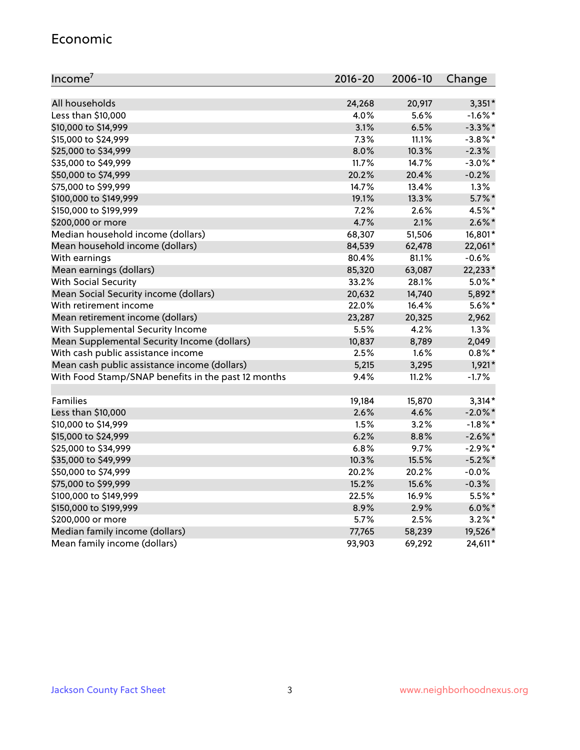### Economic

| Income <sup>7</sup>                                 | $2016 - 20$ | 2006-10 | Change     |
|-----------------------------------------------------|-------------|---------|------------|
|                                                     |             |         |            |
| All households                                      | 24,268      | 20,917  | $3,351*$   |
| Less than \$10,000                                  | 4.0%        | 5.6%    | $-1.6\%$ * |
| \$10,000 to \$14,999                                | 3.1%        | 6.5%    | $-3.3\%$ * |
| \$15,000 to \$24,999                                | 7.3%        | 11.1%   | $-3.8\%$ * |
| \$25,000 to \$34,999                                | 8.0%        | 10.3%   | $-2.3%$    |
| \$35,000 to \$49,999                                | 11.7%       | 14.7%   | $-3.0\%$ * |
| \$50,000 to \$74,999                                | 20.2%       | 20.4%   | $-0.2%$    |
| \$75,000 to \$99,999                                | 14.7%       | 13.4%   | 1.3%       |
| \$100,000 to \$149,999                              | 19.1%       | 13.3%   | $5.7\%$ *  |
| \$150,000 to \$199,999                              | 7.2%        | 2.6%    | 4.5%*      |
| \$200,000 or more                                   | 4.7%        | 2.1%    | $2.6\%$ *  |
| Median household income (dollars)                   | 68,307      | 51,506  | 16,801*    |
| Mean household income (dollars)                     | 84,539      | 62,478  | 22,061*    |
| With earnings                                       | 80.4%       | 81.1%   | $-0.6%$    |
| Mean earnings (dollars)                             | 85,320      | 63,087  | 22,233*    |
| <b>With Social Security</b>                         | 33.2%       | 28.1%   | $5.0\%$ *  |
| Mean Social Security income (dollars)               | 20,632      | 14,740  | 5,892*     |
| With retirement income                              | 22.0%       | 16.4%   | $5.6\%$ *  |
| Mean retirement income (dollars)                    | 23,287      | 20,325  | 2,962      |
| With Supplemental Security Income                   | 5.5%        | 4.2%    | 1.3%       |
| Mean Supplemental Security Income (dollars)         | 10,837      | 8,789   | 2,049      |
| With cash public assistance income                  | 2.5%        | 1.6%    | $0.8\%$ *  |
| Mean cash public assistance income (dollars)        | 5,215       | 3,295   | 1,921*     |
| With Food Stamp/SNAP benefits in the past 12 months | 9.4%        | 11.2%   | $-1.7%$    |
|                                                     |             |         |            |
| Families                                            | 19,184      | 15,870  | $3,314*$   |
| Less than \$10,000                                  | 2.6%        | 4.6%    | $-2.0\%$ * |
| \$10,000 to \$14,999                                | 1.5%        | 3.2%    | $-1.8\%$ * |
| \$15,000 to \$24,999                                | 6.2%        | 8.8%    | $-2.6\%$ * |
| \$25,000 to \$34,999                                | 6.8%        | 9.7%    | $-2.9\%$ * |
| \$35,000 to \$49,999                                | 10.3%       | 15.5%   | $-5.2%$ *  |
| \$50,000 to \$74,999                                | 20.2%       | 20.2%   | $-0.0%$    |
| \$75,000 to \$99,999                                | 15.2%       | 15.6%   | $-0.3%$    |
| \$100,000 to \$149,999                              | 22.5%       | 16.9%   | 5.5%*      |
| \$150,000 to \$199,999                              | 8.9%        | 2.9%    | $6.0\%$ *  |
| \$200,000 or more                                   | 5.7%        | 2.5%    | $3.2\%$ *  |
| Median family income (dollars)                      | 77,765      | 58,239  | 19,526*    |
| Mean family income (dollars)                        | 93,903      | 69,292  | 24,611*    |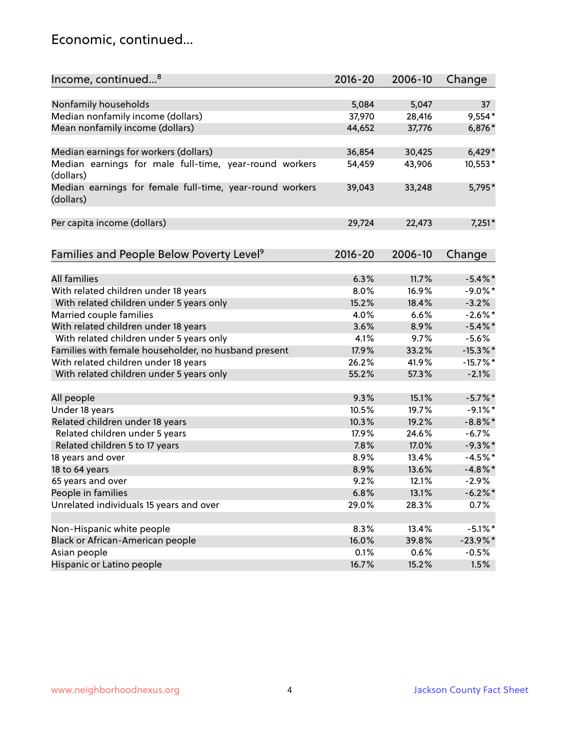## Economic, continued...

| Income, continued <sup>8</sup>                           | $2016 - 20$   | 2006-10 | Change      |
|----------------------------------------------------------|---------------|---------|-------------|
|                                                          |               |         |             |
| Nonfamily households                                     | 5,084         | 5,047   | 37          |
| Median nonfamily income (dollars)                        | 37,970        | 28,416  | $9,554*$    |
| Mean nonfamily income (dollars)                          | 44,652        | 37,776  | 6,876*      |
|                                                          |               |         |             |
| Median earnings for workers (dollars)                    | 36,854        | 30,425  | $6,429*$    |
| Median earnings for male full-time, year-round workers   | 54,459        | 43,906  | 10,553*     |
| (dollars)                                                |               |         |             |
| Median earnings for female full-time, year-round workers | 39,043        | 33,248  | 5,795*      |
| (dollars)                                                |               |         |             |
|                                                          |               |         |             |
| Per capita income (dollars)                              | 29,724        | 22,473  | $7,251*$    |
|                                                          |               |         |             |
|                                                          | $2016 - 20$   | 2006-10 |             |
| Families and People Below Poverty Level <sup>9</sup>     |               |         | Change      |
| <b>All families</b>                                      | 6.3%          | 11.7%   | $-5.4\%$ *  |
|                                                          | 8.0%          | 16.9%   | $-9.0\%$ *  |
| With related children under 18 years                     |               |         |             |
| With related children under 5 years only                 | 15.2%<br>4.0% | 18.4%   | $-3.2%$     |
| Married couple families                                  |               | 6.6%    | $-2.6\%$ *  |
| With related children under 18 years                     | 3.6%          | 8.9%    | $-5.4\%$ *  |
| With related children under 5 years only                 | 4.1%          | 9.7%    | $-5.6%$     |
| Families with female householder, no husband present     | 17.9%         | 33.2%   | $-15.3\%$ * |
| With related children under 18 years                     | 26.2%         | 41.9%   | $-15.7%$ *  |
| With related children under 5 years only                 | 55.2%         | 57.3%   | $-2.1%$     |
| All people                                               | 9.3%          | 15.1%   | $-5.7\%$ *  |
| Under 18 years                                           | 10.5%         | 19.7%   | $-9.1\%$ *  |
| Related children under 18 years                          | 10.3%         | 19.2%   | $-8.8\%$ *  |
| Related children under 5 years                           | 17.9%         | 24.6%   | $-6.7%$     |
| Related children 5 to 17 years                           | 7.8%          | 17.0%   | $-9.3\%$ *  |
| 18 years and over                                        | 8.9%          | 13.4%   | $-4.5%$ *   |
| 18 to 64 years                                           | 8.9%          | 13.6%   | $-4.8\%$ *  |
| 65 years and over                                        | 9.2%          |         |             |
|                                                          |               | 12.1%   | $-2.9%$     |
| People in families                                       | 6.8%          | 13.1%   | $-6.2\%$ *  |
| Unrelated individuals 15 years and over                  | 29.0%         | 28.3%   | 0.7%        |
|                                                          |               |         |             |
| Non-Hispanic white people                                | 8.3%          | 13.4%   | $-5.1\%$ *  |
| Black or African-American people                         | 16.0%         | 39.8%   | $-23.9\%$ * |
| Asian people                                             | 0.1%          | 0.6%    | $-0.5%$     |
| Hispanic or Latino people                                | 16.7%         | 15.2%   | 1.5%        |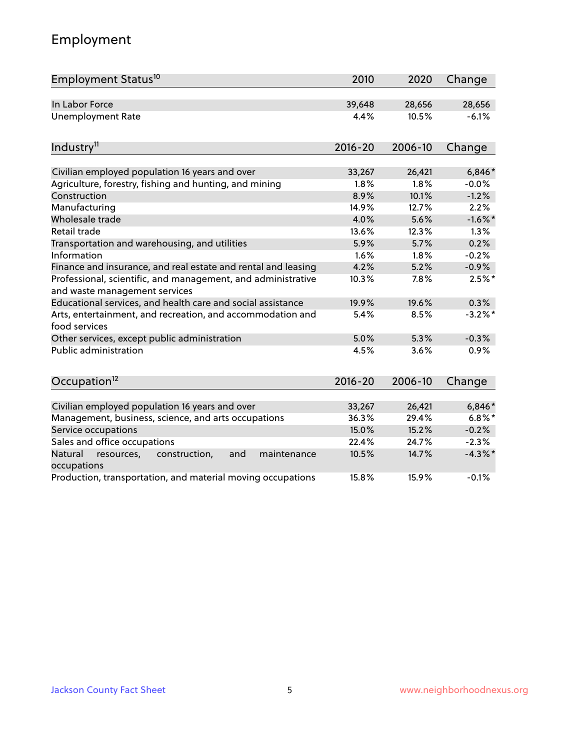## Employment

| Employment Status <sup>10</sup>                                                               | 2010        | 2020    | Change     |
|-----------------------------------------------------------------------------------------------|-------------|---------|------------|
| In Labor Force                                                                                | 39,648      | 28,656  | 28,656     |
| Unemployment Rate                                                                             | 4.4%        | 10.5%   | $-6.1%$    |
| Industry <sup>11</sup>                                                                        | $2016 - 20$ | 2006-10 | Change     |
| Civilian employed population 16 years and over                                                | 33,267      | 26,421  | $6,846*$   |
| Agriculture, forestry, fishing and hunting, and mining                                        | 1.8%        | 1.8%    | $-0.0%$    |
| Construction                                                                                  | 8.9%        | 10.1%   | $-1.2%$    |
| Manufacturing                                                                                 | 14.9%       | 12.7%   | 2.2%       |
| Wholesale trade                                                                               | 4.0%        | 5.6%    | $-1.6\%$ * |
| Retail trade                                                                                  | 13.6%       | 12.3%   | 1.3%       |
| Transportation and warehousing, and utilities                                                 | 5.9%        | 5.7%    | 0.2%       |
| Information                                                                                   | 1.6%        | 1.8%    | $-0.2%$    |
| Finance and insurance, and real estate and rental and leasing                                 | 4.2%        | 5.2%    | $-0.9%$    |
| Professional, scientific, and management, and administrative<br>and waste management services | 10.3%       | 7.8%    | $2.5%$ *   |
| Educational services, and health care and social assistance                                   | 19.9%       | 19.6%   | 0.3%       |
| Arts, entertainment, and recreation, and accommodation and<br>food services                   | 5.4%        | 8.5%    | $-3.2\%$ * |
| Other services, except public administration                                                  | 5.0%        | 5.3%    | $-0.3%$    |
| <b>Public administration</b>                                                                  | 4.5%        | 3.6%    | 0.9%       |
| Occupation <sup>12</sup>                                                                      | $2016 - 20$ | 2006-10 | Change     |
|                                                                                               |             |         |            |
| Civilian employed population 16 years and over                                                | 33,267      | 26,421  | $6,846*$   |
| Management, business, science, and arts occupations                                           | 36.3%       | 29.4%   | $6.8\%$ *  |
| Service occupations                                                                           | 15.0%       | 15.2%   | $-0.2%$    |
| Sales and office occupations                                                                  | 22.4%       | 24.7%   | $-2.3%$    |
| Natural<br>resources,<br>construction,<br>and<br>maintenance<br>occupations                   | 10.5%       | 14.7%   | $-4.3\%$ * |
| Production, transportation, and material moving occupations                                   | 15.8%       | 15.9%   | $-0.1%$    |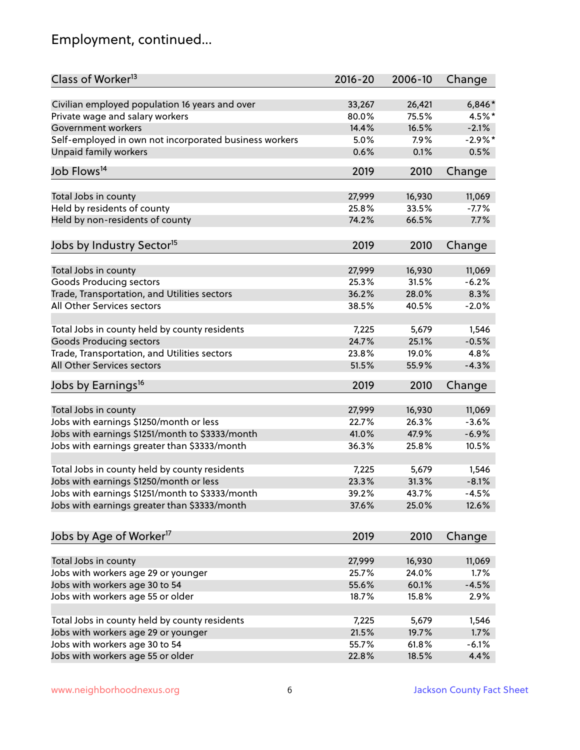## Employment, continued...

| Class of Worker <sup>13</sup>                                   | 2016-20         | 2006-10         | Change            |
|-----------------------------------------------------------------|-----------------|-----------------|-------------------|
| Civilian employed population 16 years and over                  | 33,267          | 26,421          | $6,846*$          |
| Private wage and salary workers                                 | 80.0%           | 75.5%           | 4.5%*             |
| Government workers                                              | 14.4%           | 16.5%           | $-2.1%$           |
| Self-employed in own not incorporated business workers          | 5.0%            | 7.9%            | $-2.9\%$ *        |
| <b>Unpaid family workers</b>                                    | 0.6%            | 0.1%            | 0.5%              |
| Job Flows <sup>14</sup>                                         | 2019            | 2010            | Change            |
| Total Jobs in county                                            | 27,999          | 16,930          | 11,069            |
| Held by residents of county                                     | 25.8%           | 33.5%           | $-7.7%$           |
| Held by non-residents of county                                 | 74.2%           | 66.5%           | 7.7%              |
|                                                                 |                 |                 |                   |
| Jobs by Industry Sector <sup>15</sup>                           | 2019            | 2010            | Change            |
| Total Jobs in county                                            | 27,999          | 16,930          | 11,069            |
| Goods Producing sectors                                         | 25.3%           | 31.5%           | $-6.2%$           |
| Trade, Transportation, and Utilities sectors                    | 36.2%           | 28.0%           | 8.3%              |
| All Other Services sectors                                      | 38.5%           | 40.5%           | $-2.0%$           |
|                                                                 |                 |                 |                   |
| Total Jobs in county held by county residents                   | 7,225           | 5,679           | 1,546             |
| <b>Goods Producing sectors</b>                                  | 24.7%           | 25.1%           | $-0.5%$           |
| Trade, Transportation, and Utilities sectors                    | 23.8%           | 19.0%           | 4.8%              |
| All Other Services sectors                                      | 51.5%           | 55.9%           | $-4.3%$           |
| Jobs by Earnings <sup>16</sup>                                  | 2019            | 2010            | Change            |
|                                                                 |                 |                 |                   |
| Total Jobs in county<br>Jobs with earnings \$1250/month or less | 27,999<br>22.7% | 16,930<br>26.3% | 11,069<br>$-3.6%$ |
|                                                                 | 41.0%           | 47.9%           | $-6.9%$           |
| Jobs with earnings \$1251/month to \$3333/month                 |                 |                 |                   |
| Jobs with earnings greater than \$3333/month                    | 36.3%           | 25.8%           | 10.5%             |
| Total Jobs in county held by county residents                   | 7,225           | 5,679           | 1,546             |
| Jobs with earnings \$1250/month or less                         | 23.3%           | 31.3%           | $-8.1%$           |
| Jobs with earnings \$1251/month to \$3333/month                 | 39.2%           | 43.7%           | -4.5%             |
| Jobs with earnings greater than \$3333/month                    | 37.6%           | 25.0%           | 12.6%             |
|                                                                 |                 |                 |                   |
| Jobs by Age of Worker <sup>17</sup>                             | 2019            | 2010            | Change            |
| Total Jobs in county                                            | 27,999          | 16,930          | 11,069            |
| Jobs with workers age 29 or younger                             | 25.7%           | 24.0%           | 1.7%              |
| Jobs with workers age 30 to 54                                  | 55.6%           | 60.1%           | $-4.5%$           |
| Jobs with workers age 55 or older                               | 18.7%           | 15.8%           | 2.9%              |
|                                                                 |                 |                 |                   |
| Total Jobs in county held by county residents                   | 7,225           | 5,679           | 1,546             |
| Jobs with workers age 29 or younger                             | 21.5%           | 19.7%           | 1.7%              |
| Jobs with workers age 30 to 54                                  | 55.7%           | 61.8%           | $-6.1%$           |
| Jobs with workers age 55 or older                               | 22.8%           | 18.5%           | 4.4%              |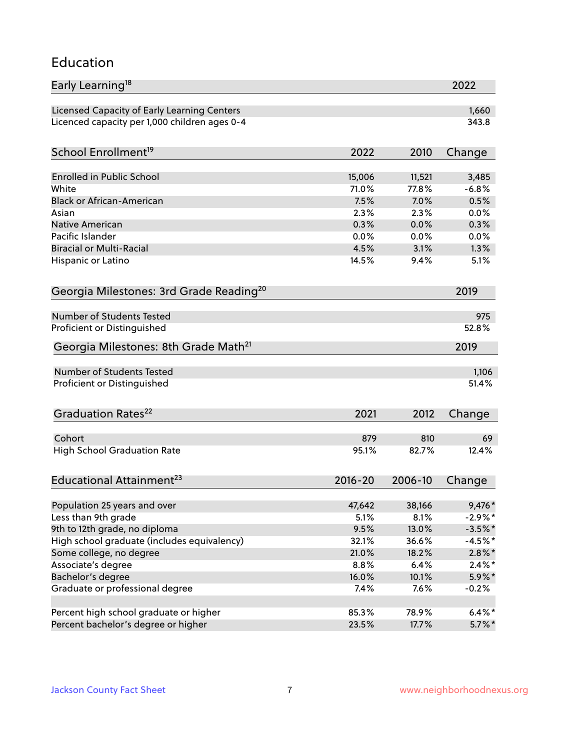### Education

| Early Learning <sup>18</sup>                        |             |         | 2022       |
|-----------------------------------------------------|-------------|---------|------------|
| Licensed Capacity of Early Learning Centers         |             |         | 1,660      |
| Licenced capacity per 1,000 children ages 0-4       |             |         | 343.8      |
| School Enrollment <sup>19</sup>                     | 2022        | 2010    | Change     |
|                                                     |             |         |            |
| <b>Enrolled in Public School</b>                    | 15,006      | 11,521  | 3,485      |
| White                                               | 71.0%       | 77.8%   | $-6.8%$    |
| <b>Black or African-American</b>                    | 7.5%        | 7.0%    | 0.5%       |
| Asian                                               | 2.3%        | 2.3%    | 0.0%       |
| <b>Native American</b>                              | 0.3%        | 0.0%    | 0.3%       |
| Pacific Islander                                    | 0.0%        | 0.0%    | 0.0%       |
| <b>Biracial or Multi-Racial</b>                     | 4.5%        | 3.1%    | 1.3%       |
| Hispanic or Latino                                  | 14.5%       | 9.4%    | 5.1%       |
| Georgia Milestones: 3rd Grade Reading <sup>20</sup> |             |         | 2019       |
| Number of Students Tested                           |             |         |            |
|                                                     |             |         | 975        |
| Proficient or Distinguished                         |             |         | 52.8%      |
| Georgia Milestones: 8th Grade Math <sup>21</sup>    |             |         | 2019       |
| Number of Students Tested                           |             |         | 1,106      |
| Proficient or Distinguished                         |             |         | 51.4%      |
| Graduation Rates <sup>22</sup>                      | 2021        | 2012    | Change     |
|                                                     |             |         |            |
| Cohort                                              | 879         | 810     | 69         |
| <b>High School Graduation Rate</b>                  | 95.1%       | 82.7%   | 12.4%      |
| Educational Attainment <sup>23</sup>                | $2016 - 20$ | 2006-10 | Change     |
| Population 25 years and over                        | 47,642      | 38,166  | $9,476*$   |
| Less than 9th grade                                 | 5.1%        | 8.1%    | $-2.9\%$ * |
| 9th to 12th grade, no diploma                       | 9.5%        | 13.0%   | $-3.5%$ *  |
| High school graduate (includes equivalency)         | 32.1%       | 36.6%   | $-4.5%$ *  |
| Some college, no degree                             | 21.0%       | 18.2%   | $2.8\%$ *  |
| Associate's degree                                  | 8.8%        | 6.4%    | $2.4\%*$   |
| Bachelor's degree                                   | 16.0%       | 10.1%   | $5.9\%*$   |
| Graduate or professional degree                     |             |         |            |
|                                                     | 7.4%        | 7.6%    | $-0.2%$    |
| Percent high school graduate or higher              | 85.3%       | 78.9%   | $6.4\%*$   |
| Percent bachelor's degree or higher                 | 23.5%       | 17.7%   | $5.7\%$ *  |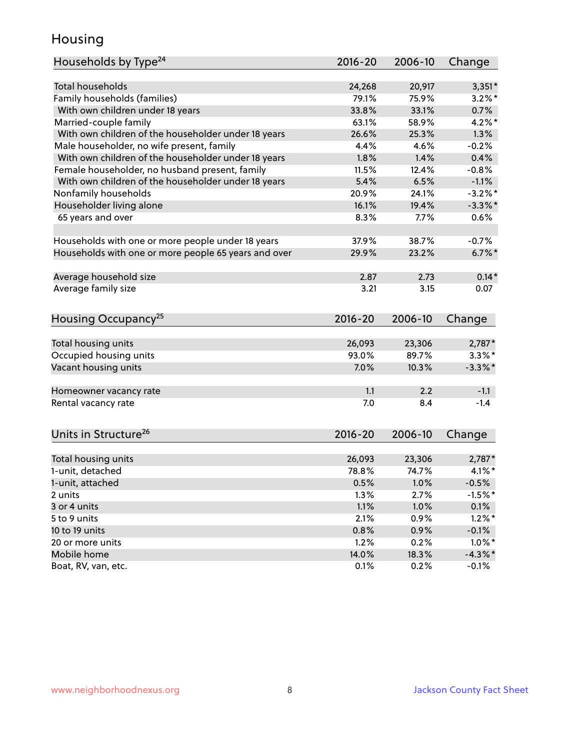## Housing

| Households by Type <sup>24</sup>                     | 2016-20     | 2006-10 | Change     |
|------------------------------------------------------|-------------|---------|------------|
|                                                      |             |         |            |
| <b>Total households</b>                              | 24,268      | 20,917  | $3,351*$   |
| Family households (families)                         | 79.1%       | 75.9%   | $3.2\%$ *  |
| With own children under 18 years                     | 33.8%       | 33.1%   | 0.7%       |
| Married-couple family                                | 63.1%       | 58.9%   | $4.2\%$ *  |
| With own children of the householder under 18 years  | 26.6%       | 25.3%   | 1.3%       |
| Male householder, no wife present, family            | 4.4%        | 4.6%    | $-0.2%$    |
| With own children of the householder under 18 years  | 1.8%        | 1.4%    | 0.4%       |
| Female householder, no husband present, family       | 11.5%       | 12.4%   | $-0.8%$    |
| With own children of the householder under 18 years  | 5.4%        | 6.5%    | $-1.1%$    |
| Nonfamily households                                 | 20.9%       | 24.1%   | $-3.2\%$ * |
| Householder living alone                             | 16.1%       | 19.4%   | $-3.3\%$ * |
| 65 years and over                                    | 8.3%        | 7.7%    | 0.6%       |
|                                                      |             |         |            |
| Households with one or more people under 18 years    | 37.9%       | 38.7%   | $-0.7%$    |
| Households with one or more people 65 years and over | 29.9%       | 23.2%   | $6.7\%$ *  |
| Average household size                               | 2.87        | 2.73    | $0.14*$    |
| Average family size                                  | 3.21        | 3.15    | 0.07       |
|                                                      |             |         |            |
| Housing Occupancy <sup>25</sup>                      | 2016-20     | 2006-10 | Change     |
|                                                      |             |         |            |
| Total housing units                                  | 26,093      | 23,306  | 2,787*     |
| Occupied housing units                               | 93.0%       | 89.7%   | $3.3\%$ *  |
| Vacant housing units                                 | 7.0%        | 10.3%   | $-3.3\%$ * |
| Homeowner vacancy rate                               | 1.1         | 2.2     | $-1.1$     |
| Rental vacancy rate                                  | 7.0         | 8.4     | $-1.4$     |
|                                                      |             |         |            |
| Units in Structure <sup>26</sup>                     | $2016 - 20$ | 2006-10 | Change     |
| Total housing units                                  | 26,093      | 23,306  | 2,787*     |
| 1-unit, detached                                     | 78.8%       | 74.7%   | $4.1\%$ *  |
|                                                      |             |         |            |
| 1-unit, attached                                     | 0.5%        | 1.0%    | $-0.5%$    |
| 2 units                                              | 1.3%        | 2.7%    | $-1.5%$ *  |
| 3 or 4 units                                         | 1.1%        | 1.0%    | 0.1%       |
| 5 to 9 units                                         | 2.1%        | 0.9%    | $1.2\%$ *  |
| 10 to 19 units                                       | 0.8%        | 0.9%    | $-0.1%$    |
| 20 or more units                                     | 1.2%        | 0.2%    | $1.0\%$ *  |
| Mobile home                                          | 14.0%       | 18.3%   | $-4.3\%$ * |
| Boat, RV, van, etc.                                  | 0.1%        | 0.2%    | $-0.1%$    |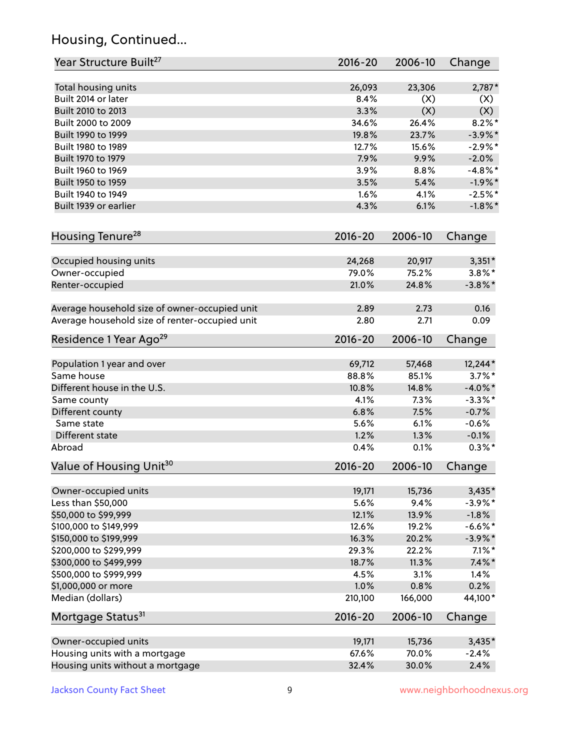## Housing, Continued...

| Year Structure Built <sup>27</sup>             | 2016-20        | 2006-10        | Change     |
|------------------------------------------------|----------------|----------------|------------|
| Total housing units                            | 26,093         | 23,306         | $2,787*$   |
| Built 2014 or later                            | 8.4%           | (X)            | (X)        |
| Built 2010 to 2013                             | 3.3%           | (X)            | (X)        |
| Built 2000 to 2009                             | 34.6%          | 26.4%          | $8.2\%$ *  |
| Built 1990 to 1999                             | 19.8%          | 23.7%          | $-3.9\%$ * |
| Built 1980 to 1989                             | 12.7%          | 15.6%          | $-2.9%$ *  |
| Built 1970 to 1979                             | 7.9%           | 9.9%           | $-2.0%$    |
| Built 1960 to 1969                             | 3.9%           | 8.8%           | $-4.8\%$ * |
| Built 1950 to 1959                             | 3.5%           | 5.4%           | $-1.9%$ *  |
| Built 1940 to 1949                             | 1.6%           | 4.1%           | $-2.5%$ *  |
| Built 1939 or earlier                          | 4.3%           | 6.1%           | $-1.8\%$ * |
| Housing Tenure <sup>28</sup>                   | $2016 - 20$    | 2006-10        | Change     |
|                                                |                |                |            |
| Occupied housing units                         | 24,268         | 20,917         | $3,351*$   |
| Owner-occupied                                 | 79.0%<br>21.0% | 75.2%<br>24.8% | $3.8\%$ *  |
| Renter-occupied                                |                |                | $-3.8\%$ * |
| Average household size of owner-occupied unit  | 2.89           | 2.73           | 0.16       |
| Average household size of renter-occupied unit | 2.80           | 2.71           | 0.09       |
| Residence 1 Year Ago <sup>29</sup>             | 2016-20        | 2006-10        | Change     |
| Population 1 year and over                     | 69,712         | 57,468         | 12,244*    |
| Same house                                     | 88.8%          | 85.1%          | $3.7\%$ *  |
| Different house in the U.S.                    | 10.8%          | 14.8%          | $-4.0\%$ * |
| Same county                                    | 4.1%           | 7.3%           | $-3.3\%$ * |
| Different county                               | 6.8%           | 7.5%           | $-0.7%$    |
| Same state                                     | 5.6%           | 6.1%           | $-0.6%$    |
| Different state                                | 1.2%           | 1.3%           | $-0.1%$    |
| Abroad                                         | 0.4%           | 0.1%           | $0.3\%$ *  |
| Value of Housing Unit <sup>30</sup>            | $2016 - 20$    | 2006-10        | Change     |
|                                                |                |                |            |
| Owner-occupied units                           | 19,171         | 15,736         | $3,435*$   |
| Less than \$50,000                             | 5.6%           | 9.4%           | $-3.9\%$ * |
| \$50,000 to \$99,999                           | 12.1%          | 13.9%          | $-1.8%$    |
| \$100,000 to \$149,999                         | 12.6%          | 19.2%          | $-6.6\%$ * |
| \$150,000 to \$199,999                         | 16.3%          | 20.2%          | $-3.9\%$ * |
| \$200,000 to \$299,999                         | 29.3%          | 22.2%          | $7.1\%$ *  |
| \$300,000 to \$499,999                         | 18.7%          | 11.3%          | $7.4\%$ *  |
| \$500,000 to \$999,999                         | 4.5%           | 3.1%           | 1.4%       |
| \$1,000,000 or more                            | 1.0%           | 0.8%           | 0.2%       |
| Median (dollars)                               | 210,100        | 166,000        | 44,100*    |
| Mortgage Status <sup>31</sup>                  | 2016-20        | 2006-10        | Change     |
| Owner-occupied units                           | 19,171         | 15,736         | $3,435*$   |
| Housing units with a mortgage                  | 67.6%          | 70.0%          | $-2.4%$    |
| Housing units without a mortgage               | 32.4%          | 30.0%          | 2.4%       |
|                                                |                |                |            |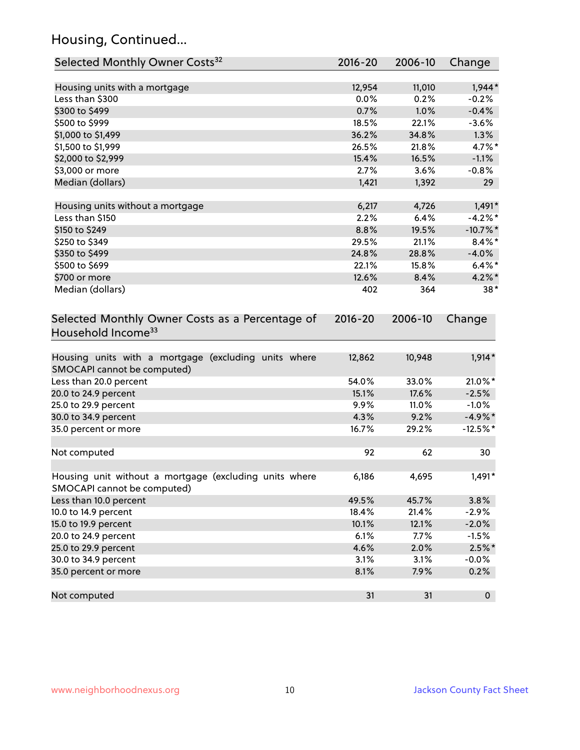## Housing, Continued...

| Selected Monthly Owner Costs <sup>32</sup>                                            | $2016 - 20$ | 2006-10 | Change      |
|---------------------------------------------------------------------------------------|-------------|---------|-------------|
| Housing units with a mortgage                                                         | 12,954      | 11,010  | $1,944*$    |
| Less than \$300                                                                       | 0.0%        | 0.2%    | $-0.2%$     |
| \$300 to \$499                                                                        | 0.7%        | 1.0%    | $-0.4%$     |
| \$500 to \$999                                                                        | 18.5%       | 22.1%   | $-3.6%$     |
| \$1,000 to \$1,499                                                                    | 36.2%       | 34.8%   | 1.3%        |
| \$1,500 to \$1,999                                                                    | 26.5%       | 21.8%   | 4.7%*       |
| \$2,000 to \$2,999                                                                    | 15.4%       | 16.5%   | $-1.1%$     |
| \$3,000 or more                                                                       | 2.7%        | 3.6%    | $-0.8%$     |
| Median (dollars)                                                                      | 1,421       | 1,392   | 29          |
| Housing units without a mortgage                                                      | 6,217       | 4,726   | $1,491*$    |
| Less than \$150                                                                       | 2.2%        | 6.4%    | $-4.2%$ *   |
| \$150 to \$249                                                                        | 8.8%        | 19.5%   | $-10.7\%$ * |
| \$250 to \$349                                                                        | 29.5%       | 21.1%   | $8.4\%$ *   |
| \$350 to \$499                                                                        | 24.8%       | 28.8%   | $-4.0%$     |
| \$500 to \$699                                                                        | 22.1%       | 15.8%   | $6.4\%*$    |
| \$700 or more                                                                         | 12.6%       | 8.4%    | $4.2\%$ *   |
| Median (dollars)                                                                      | 402         | 364     | $38*$       |
| Selected Monthly Owner Costs as a Percentage of<br>Household Income <sup>33</sup>     | $2016 - 20$ | 2006-10 | Change      |
| Housing units with a mortgage (excluding units where<br>SMOCAPI cannot be computed)   | 12,862      | 10,948  | $1,914*$    |
| Less than 20.0 percent                                                                | 54.0%       | 33.0%   | 21.0%*      |
| 20.0 to 24.9 percent                                                                  | 15.1%       | 17.6%   | $-2.5%$     |
| 25.0 to 29.9 percent                                                                  | 9.9%        | 11.0%   | $-1.0%$     |
| 30.0 to 34.9 percent                                                                  | 4.3%        | 9.2%    | $-4.9\%$ *  |
| 35.0 percent or more                                                                  | 16.7%       | 29.2%   | $-12.5%$ *  |
| Not computed                                                                          | 92          | 62      | 30          |
| Housing unit without a mortgage (excluding units where<br>SMOCAPI cannot be computed) | 6,186       | 4,695   | $1,491*$    |
| Less than 10.0 percent                                                                | 49.5%       | 45.7%   | 3.8%        |
| 10.0 to 14.9 percent                                                                  | 18.4%       | 21.4%   | $-2.9%$     |
| 15.0 to 19.9 percent                                                                  | 10.1%       | 12.1%   | $-2.0%$     |
| 20.0 to 24.9 percent                                                                  | 6.1%        | 7.7%    | $-1.5%$     |
| 25.0 to 29.9 percent                                                                  | 4.6%        | 2.0%    | $2.5\%$ *   |
| 30.0 to 34.9 percent                                                                  | 3.1%        | 3.1%    | $-0.0%$     |
| 35.0 percent or more                                                                  | 8.1%        | 7.9%    | 0.2%        |
| Not computed                                                                          | 31          | 31      | $\mathbf 0$ |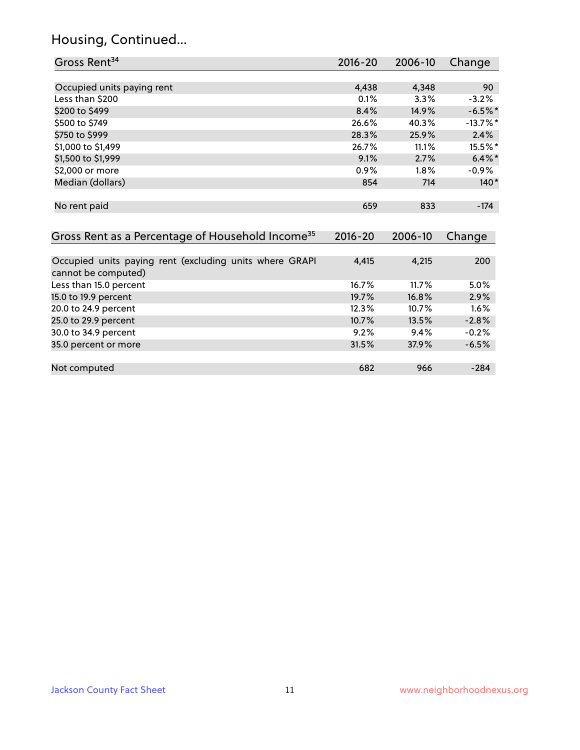## Housing, Continued...

| Gross Rent <sup>34</sup>                                                       | 2016-20     | 2006-10 | Change     |
|--------------------------------------------------------------------------------|-------------|---------|------------|
|                                                                                |             |         |            |
| Occupied units paying rent                                                     | 4,438       | 4,348   | 90         |
| Less than \$200                                                                | 0.1%        | 3.3%    | $-3.2%$    |
| \$200 to \$499                                                                 | 8.4%        | 14.9%   | $-6.5%$ *  |
| \$500 to \$749                                                                 | 26.6%       | 40.3%   | $-13.7%$ * |
| \$750 to \$999                                                                 | 28.3%       | 25.9%   | 2.4%       |
| \$1,000 to \$1,499                                                             | 26.7%       | 11.1%   | 15.5%*     |
| \$1,500 to \$1,999                                                             | 9.1%        | 2.7%    | $6.4\%$    |
| \$2,000 or more                                                                | 0.9%        | 1.8%    | -0.9%      |
| Median (dollars)                                                               | 854         | 714     | $140*$     |
| No rent paid                                                                   | 659         | 833     | $-174$     |
| Gross Rent as a Percentage of Household Income <sup>35</sup>                   | $2016 - 20$ | 2006-10 | Change     |
| Occupied units paying rent (excluding units where GRAPI<br>cannot be computed) | 4,415       | 4,215   | 200        |
| Less than 15.0 percent                                                         | 16.7%       | 11.7%   | 5.0%       |
| 15.0 to 19.9 percent                                                           | 19.7%       | 16.8%   | 2.9%       |
| 20.0 to 24.9 percent                                                           | 12.3%       | 10.7%   | 1.6%       |
| 25.0 to 29.9 percent                                                           | 10.7%       | 13.5%   | $-2.8%$    |
| 30.0 to 34.9 percent                                                           | 9.2%        | 9.4%    | $-0.2%$    |
| 35.0 percent or more                                                           | 31.5%       | 37.9%   | $-6.5%$    |
| Not computed                                                                   | 682         | 966     | $-284$     |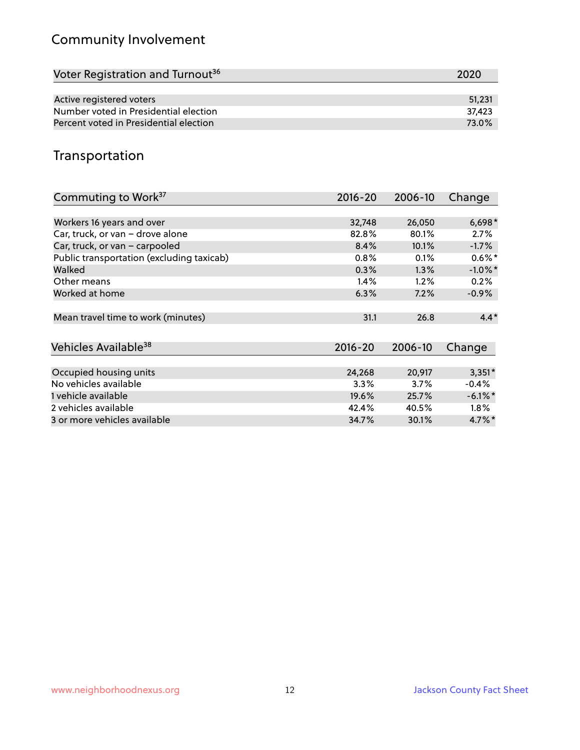## Community Involvement

| Voter Registration and Turnout <sup>36</sup> | 2020   |
|----------------------------------------------|--------|
|                                              |        |
| Active registered voters                     | 51.231 |
| Number voted in Presidential election        | 37.423 |
| Percent voted in Presidential election       | 73.0%  |

## Transportation

| Commuting to Work <sup>37</sup>           | 2016-20     | 2006-10 | Change               |
|-------------------------------------------|-------------|---------|----------------------|
|                                           |             |         |                      |
| Workers 16 years and over                 | 32,748      | 26,050  | $6,698*$             |
| Car, truck, or van - drove alone          | 82.8%       | 80.1%   | 2.7%                 |
| Car, truck, or van - carpooled            | 8.4%        | 10.1%   | $-1.7%$              |
| Public transportation (excluding taxicab) | 0.8%        | 0.1%    | $0.6\%$ *            |
| Walked                                    | 0.3%        | 1.3%    | $-1.0\%$ *           |
| Other means                               | 1.4%        | 1.2%    | 0.2%                 |
| Worked at home                            | 6.3%        | 7.2%    | $-0.9\%$             |
|                                           |             |         |                      |
| Mean travel time to work (minutes)        | 31.1        | 26.8    | $4.4*$               |
|                                           |             |         |                      |
| Vehicles Available <sup>38</sup>          | $2016 - 20$ | 2006-10 | Change               |
|                                           |             |         |                      |
| Occupied housing units                    | 24,268      | 20,917  | $3,351*$             |
| No vehicles available                     | 3.3%        | 3.7%    | $-0.4%$              |
| 1 vehicle available                       | 19.6%       | 25.7%   | $-6.1\%$ *           |
| 2 vehicles available                      | 42.4%       | 40.5%   | $1.8\%$              |
| 3 or more vehicles available              | 34.7%       | 30.1%   | $4.7\%$ <sup>*</sup> |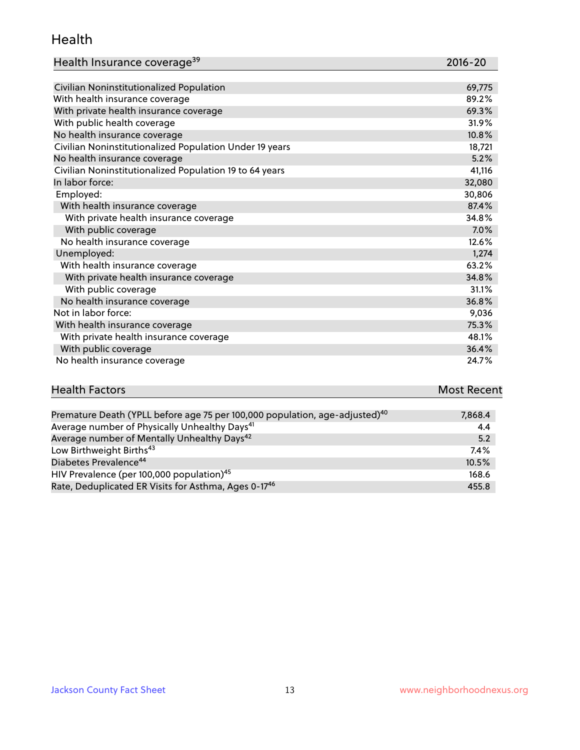#### Health

| Health Insurance coverage <sup>39</sup> | 2016-20 |
|-----------------------------------------|---------|
|-----------------------------------------|---------|

| Civilian Noninstitutionalized Population                | 69,775 |
|---------------------------------------------------------|--------|
| With health insurance coverage                          | 89.2%  |
| With private health insurance coverage                  | 69.3%  |
| With public health coverage                             | 31.9%  |
| No health insurance coverage                            | 10.8%  |
| Civilian Noninstitutionalized Population Under 19 years | 18,721 |
| No health insurance coverage                            | 5.2%   |
| Civilian Noninstitutionalized Population 19 to 64 years | 41,116 |
| In labor force:                                         | 32,080 |
| Employed:                                               | 30,806 |
| With health insurance coverage                          | 87.4%  |
| With private health insurance coverage                  | 34.8%  |
| With public coverage                                    | 7.0%   |
| No health insurance coverage                            | 12.6%  |
| Unemployed:                                             | 1,274  |
| With health insurance coverage                          | 63.2%  |
| With private health insurance coverage                  | 34.8%  |
| With public coverage                                    | 31.1%  |
| No health insurance coverage                            | 36.8%  |
| Not in labor force:                                     | 9,036  |
| With health insurance coverage                          | 75.3%  |
| With private health insurance coverage                  | 48.1%  |
| With public coverage                                    | 36.4%  |
| No health insurance coverage                            | 24.7%  |

# **Health Factors Most Recent** And The Control of the Control of The Control of The Control of The Control of The Control of The Control of The Control of The Control of The Control of The Control of The Control of The Contr

| Premature Death (YPLL before age 75 per 100,000 population, age-adjusted) <sup>40</sup> | 7,868.4 |
|-----------------------------------------------------------------------------------------|---------|
| Average number of Physically Unhealthy Days <sup>41</sup>                               | 4.4     |
| Average number of Mentally Unhealthy Days <sup>42</sup>                                 | 5.2     |
| Low Birthweight Births <sup>43</sup>                                                    | $7.4\%$ |
| Diabetes Prevalence <sup>44</sup>                                                       | 10.5%   |
| HIV Prevalence (per 100,000 population) <sup>45</sup>                                   | 168.6   |
| Rate, Deduplicated ER Visits for Asthma, Ages 0-17 <sup>46</sup>                        | 455.8   |